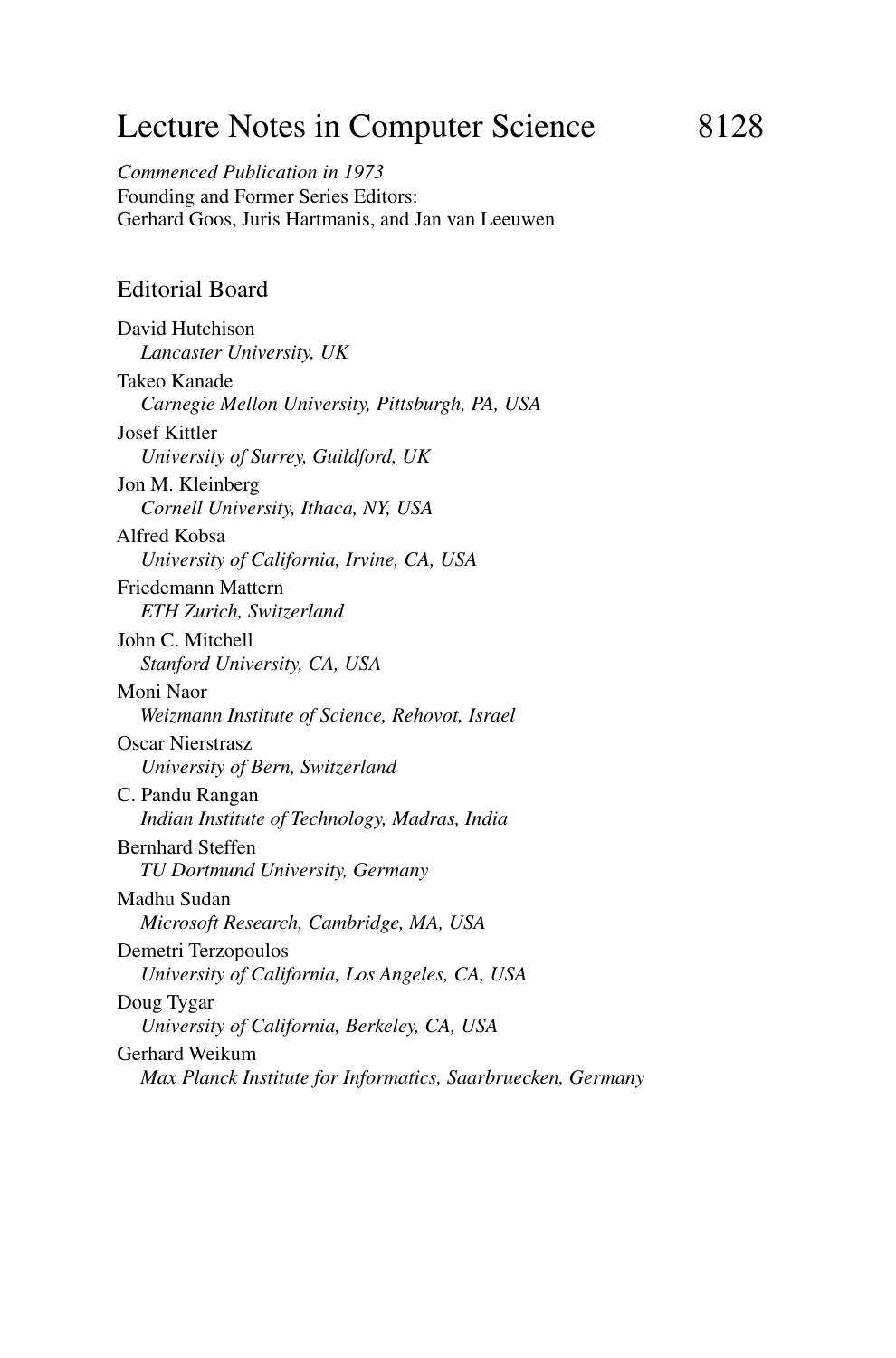# Lecture Notes in Computer Science 8128

*Commenced Publication in 1973* Founding and Former Series Editors: Gerhard Goos, Juris Hartmanis, and Jan van Leeuwen

#### Editorial Board

David Hutchison *Lancaster University, UK* Takeo Kanade *Carnegie Mellon University, Pittsburgh, PA, USA* Josef Kittler *University of Surrey, Guildford, UK* Jon M. Kleinberg *Cornell University, Ithaca, NY, USA* Alfred Kobsa *University of California, Irvine, CA, USA* Friedemann Mattern *ETH Zurich, Switzerland* John C. Mitchell *Stanford University, CA, USA* Moni Naor *Weizmann Institute of Science, Rehovot, Israel* Oscar Nierstrasz *University of Bern, Switzerland* C. Pandu Rangan *Indian Institute of Technology, Madras, India* Bernhard Steffen *TU Dortmund University, Germany* Madhu Sudan *Microsoft Research, Cambridge, MA, USA* Demetri Terzopoulos *University of California, Los Angeles, CA, USA* Doug Tygar *University of California, Berkeley, CA, USA* Gerhard Weikum *Max Planck Institute for Informatics, Saarbruecken, Germany*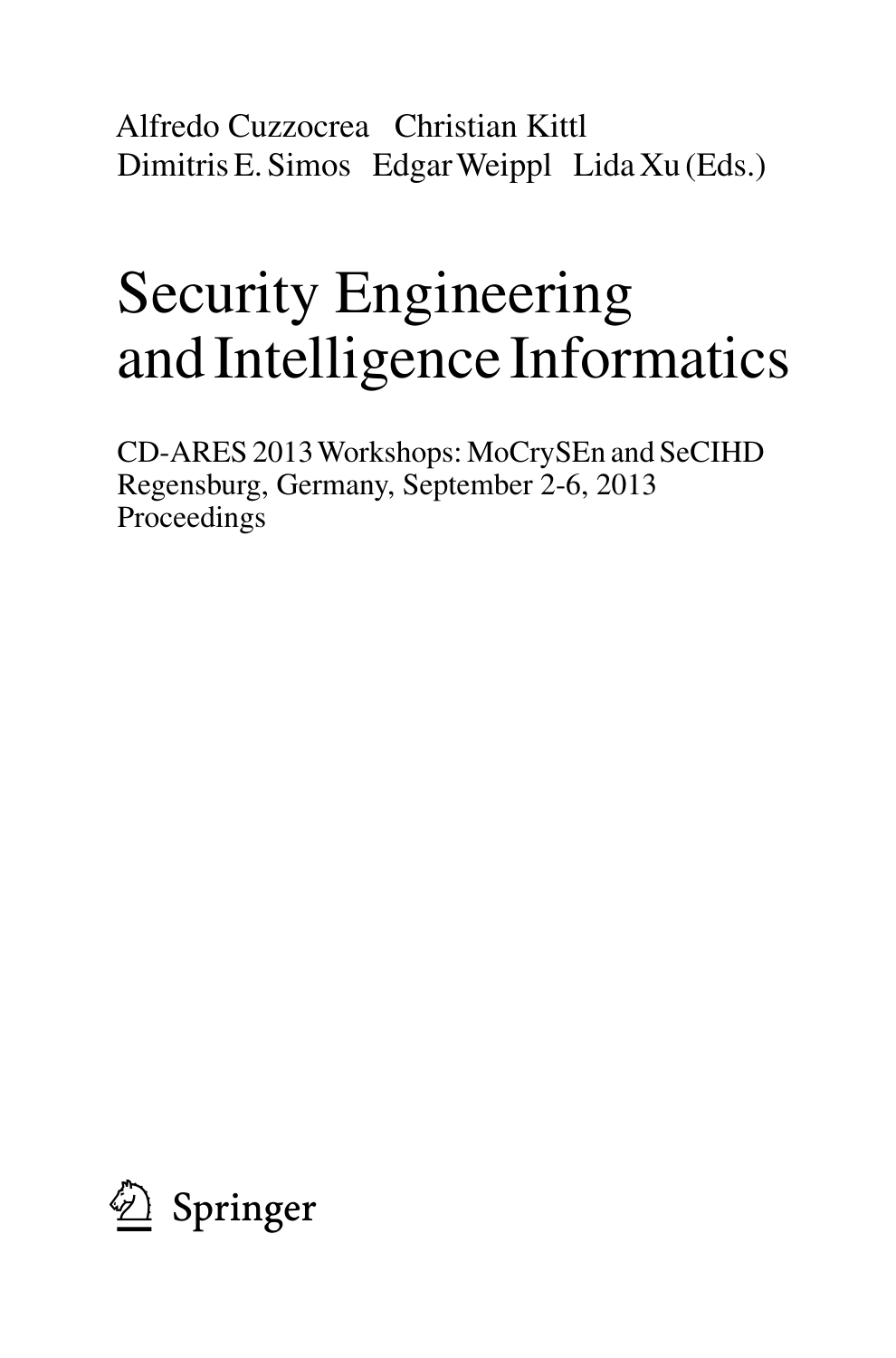Alfredo Cuzzocrea Christian Kittl Dimitris E. Simos EdgarWeippl Lida Xu (Eds.)

# Security Engineering and Intelligence Informatics

CD-ARES 2013 Workshops: MoCrySEn and SeCIHD Regensburg, Germany, September 2-6, 2013 Proceedings

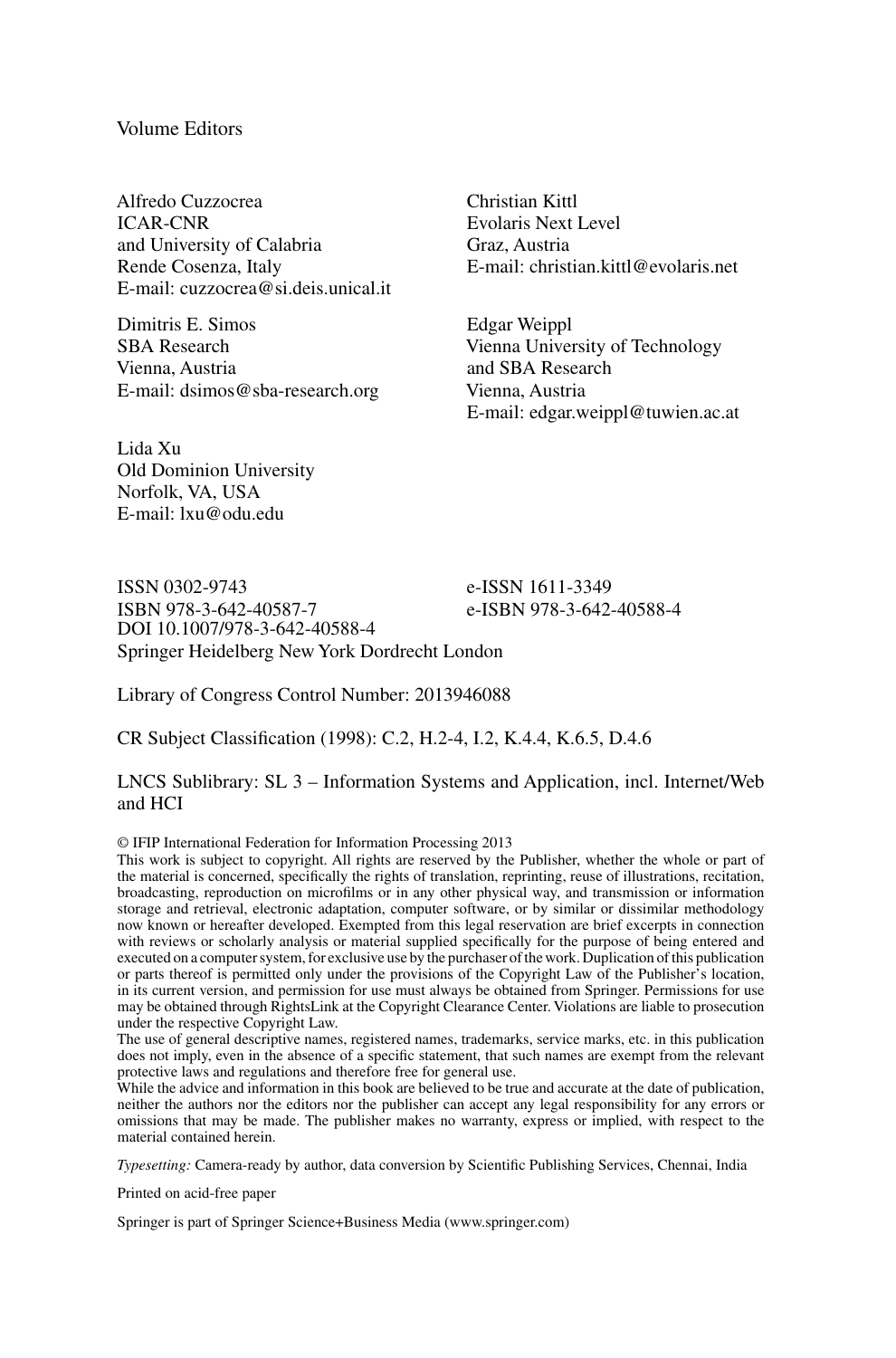#### Volume Editors

Alfredo Cuzzocrea ICAR-CNR and University of Calabria Rende Cosenza, Italy E-mail: cuzzocrea@si.deis.unical.it

Dimitris E. Simos SBA Research Vienna, Austria E-mail: dsimos@sba-research.org

Lida Xu Old Dominion University Norfolk, VA, USA E-mail: lxu@odu.edu

Christian Kittl Evolaris Next Level Graz, Austria E-mail: christian.kittl@evolaris.net

Edgar Weippl Vienna University of Technology and SBA Research Vienna, Austria E-mail: edgar.weippl@tuwien.ac.at

ISSN 0302-9743<br>
ISBN 978-3-642-40587-7<br>
e-ISBN 978-3-642 e-ISBN 978-3-642-40588-4 DOI 10.1007/978-3-642-40588-4 Springer Heidelberg New York Dordrecht London

Library of Congress Control Number: 2013946088

CR Subject Classification (1998): C.2, H.2-4, I.2, K.4.4, K.6.5, D.4.6

#### LNCS Sublibrary: SL 3 – Information Systems and Application, incl. Internet/Web and HCI

© IFIP International Federation for Information Processing 2013

This work is subject to copyright. All rights are reserved by the Publisher, whether the whole or part of the material is concerned, specifically the rights of translation, reprinting, reuse of illustrations, recitation, broadcasting, reproduction on microfilms or in any other physical way, and transmission or information storage and retrieval, electronic adaptation, computer software, or by similar or dissimilar methodology now known or hereafter developed. Exempted from this legal reservation are brief excerpts in connection with reviews or scholarly analysis or material supplied specifically for the purpose of being entered and executed on a computer system, for exclusive use by the purchaser of the work. Duplication of this publication or parts thereof is permitted only under the provisions of the Copyright Law of the Publisher's location, in its current version, and permission for use must always be obtained from Springer. Permissions for use may be obtained through RightsLink at the Copyright Clearance Center. Violations are liable to prosecution under the respective Copyright Law.

The use of general descriptive names, registered names, trademarks, service marks, etc. in this publication does not imply, even in the absence of a specific statement, that such names are exempt from the relevant

protective laws and regulations and therefore free for general use. While the advice and information in this book are believed to be true and accurate at the date of publication, neither the authors nor the editors nor the publisher can accept any legal responsibility for any errors or omissions that may be made. The publisher makes no warranty, express or implied, with respect to the material contained herein.

*Typesetting:* Camera-ready by author, data conversion by Scientific Publishing Services, Chennai, India

Printed on acid-free paper

Springer is part of Springer Science+Business Media (www.springer.com)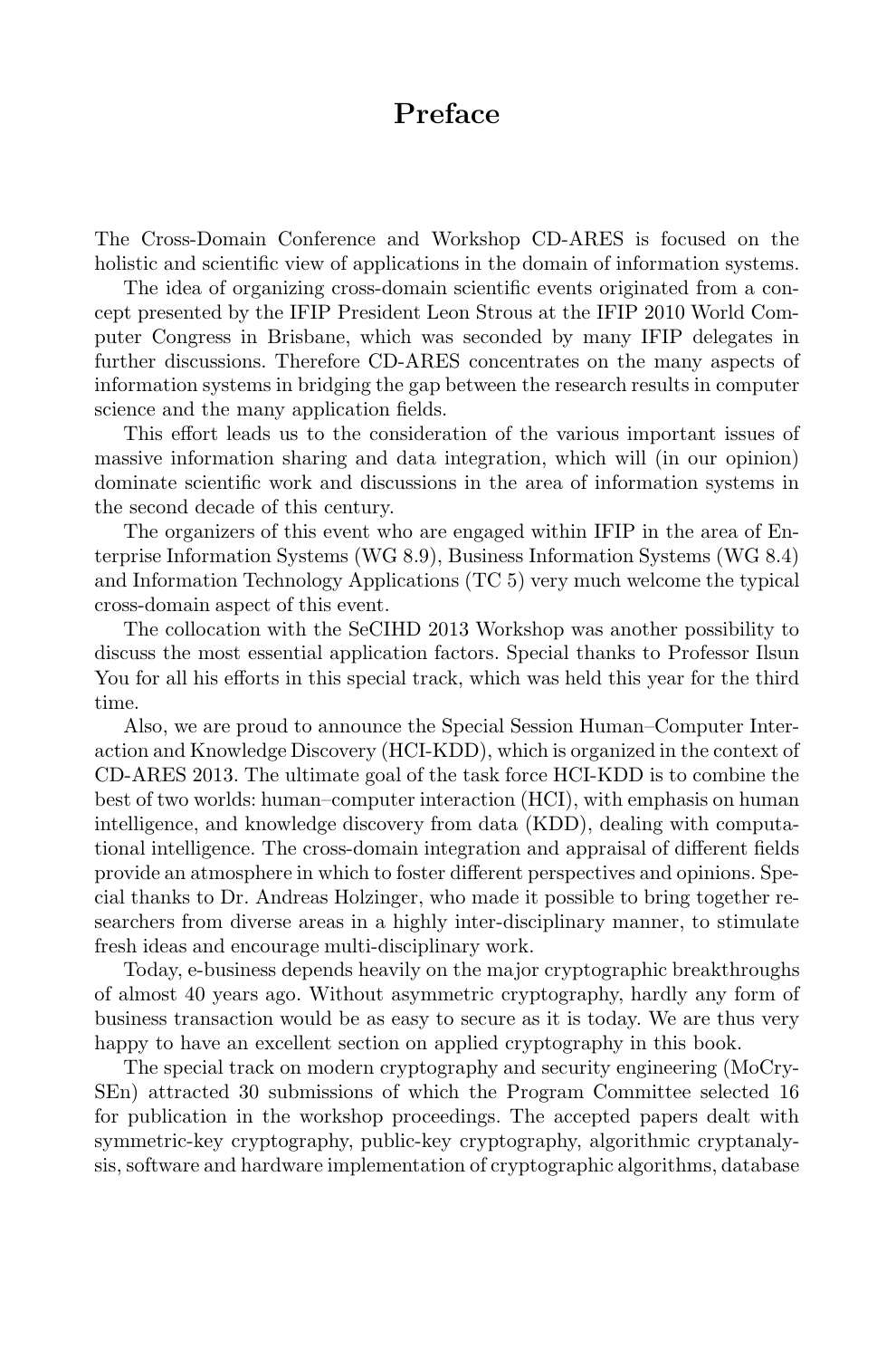# **Preface**

The Cross-Domain Conference and Workshop CD-ARES is focused on the holistic and scientific view of applications in the domain of information systems.

The idea of organizing cross-domain scientific events originated from a concept presented by the IFIP President Leon Strous at the IFIP 2010 World Computer Congress in Brisbane, which was seconded by many IFIP delegates in further discussions. Therefore CD-ARES concentrates on the many aspects of information systems in bridging the gap between the research results in computer science and the many application fields.

This effort leads us to the consideration of the various important issues of massive information sharing and data integration, which will (in our opinion) dominate scientific work and discussions in the area of information systems in the second decade of this century.

The organizers of this event who are engaged within IFIP in the area of Enterprise Information Systems (WG 8.9), Business Information Systems (WG 8.4) and Information Technology Applications (TC 5) very much welcome the typical cross-domain aspect of this event.

The collocation with the SeCIHD 2013 Workshop was another possibility to discuss the most essential application factors. Special thanks to Professor Ilsun You for all his efforts in this special track, which was held this year for the third time.

Also, we are proud to announce the Special Session Human–Computer Interaction and Knowledge Discovery (HCI-KDD), which is organized in the context of CD-ARES 2013. The ultimate goal of the task force HCI-KDD is to combine the best of two worlds: human–computer interaction (HCI), with emphasis on human intelligence, and knowledge discovery from data (KDD), dealing with computational intelligence. The cross-domain integration and appraisal of different fields provide an atmosphere in which to foster different perspectives and opinions. Special thanks to Dr. Andreas Holzinger, who made it possible to bring together researchers from diverse areas in a highly inter-disciplinary manner, to stimulate fresh ideas and encourage multi-disciplinary work.

Today, e-business depends heavily on the major cryptographic breakthroughs of almost 40 years ago. Without asymmetric cryptography, hardly any form of business transaction would be as easy to secure as it is today. We are thus very happy to have an excellent section on applied cryptography in this book.

The special track on modern cryptography and security engineering (MoCry-SEn) attracted 30 submissions of which the Program Committee selected 16 for publication in the workshop proceedings. The accepted papers dealt with symmetric-key cryptography, public-key cryptography, algorithmic cryptanalysis, software and hardware implementation of cryptographic algorithms, database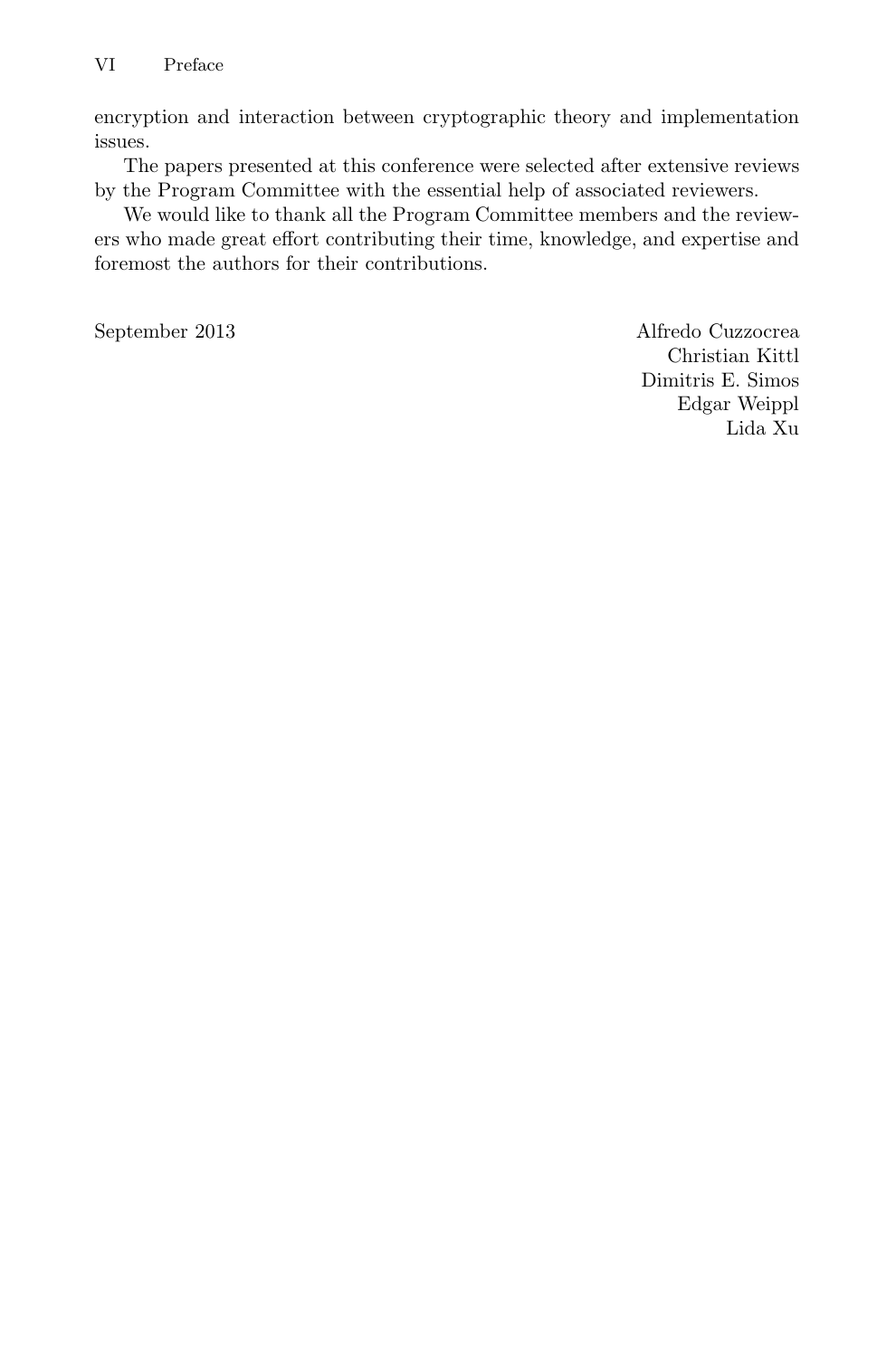encryption and interaction between cryptographic theory and implementation issues.

The papers presented at this conference were selected after extensive reviews by the Program Committee with the essential help of associated reviewers.

We would like to thank all the Program Committee members and the reviewers who made great effort contributing their time, knowledge, and expertise and foremost the authors for their contributions.

September 2013 Alfredo Cuzzocrea Christian Kittl Dimitris E. Simos Edgar Weippl Lida Xu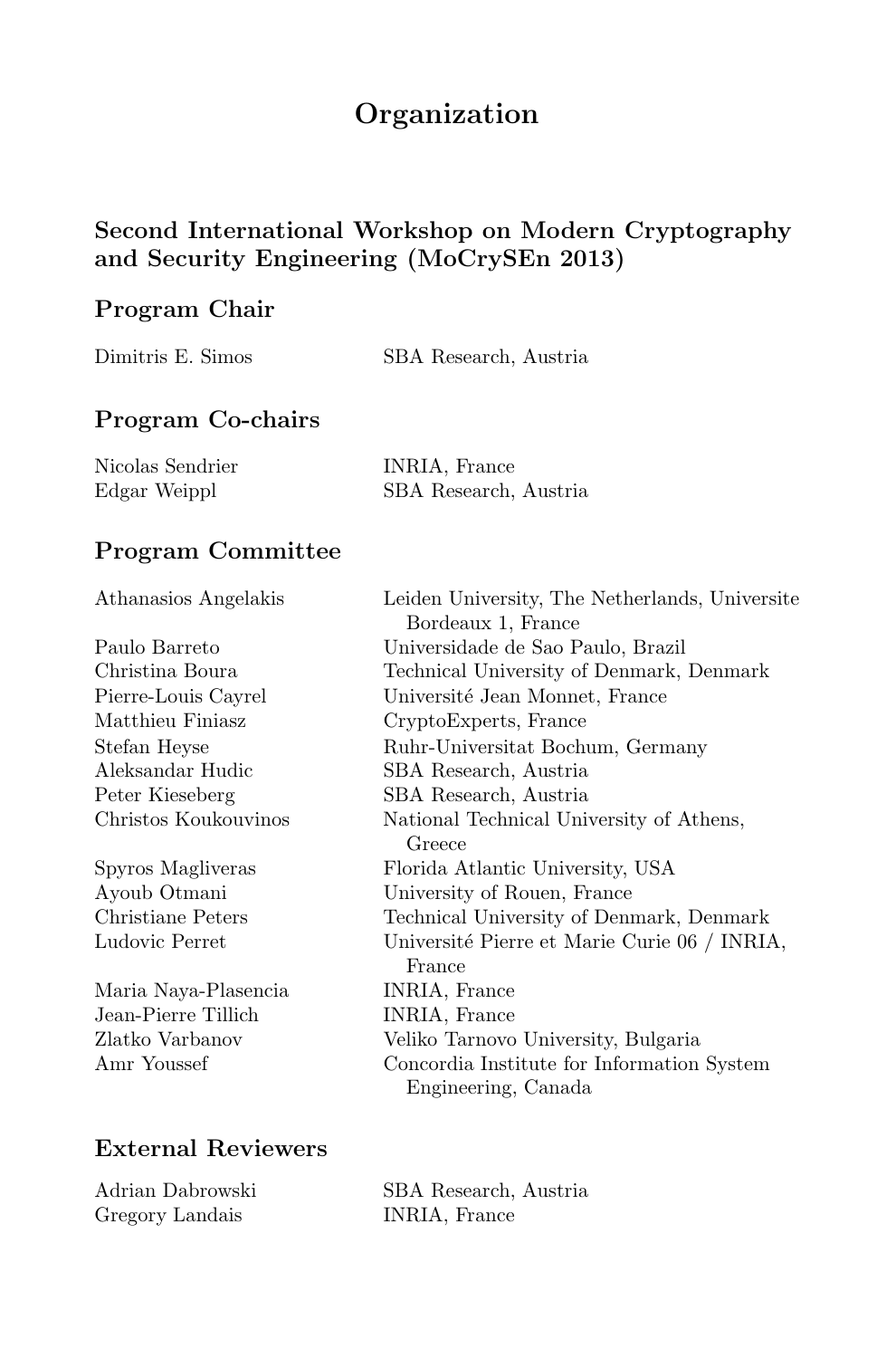# **Organization**

## **Second International Workshop on Modern Cryptography and Security Engineering (MoCrySEn 2013)**

#### **Program Chair**

| Dimitris E. Simos<br>SBA Research, Austria |
|--------------------------------------------|
|--------------------------------------------|

#### **Program Co-chairs**

| Nicolas Sendrier | INRIA, France         |
|------------------|-----------------------|
| Edgar Weippl     | SBA Research, Austria |

#### **Program Committee**

| Athanasios Angelakis | Leiden University, The Netherlands, Universite |
|----------------------|------------------------------------------------|
|                      | Bordeaux 1, France                             |
| Paulo Barreto        | Universidade de Sao Paulo, Brazil              |
| Christina Boura      | Technical University of Denmark, Denmark       |
| Pierre-Louis Cayrel  | Université Jean Monnet, France                 |
| Matthieu Finiasz     | CryptoExperts, France                          |
| Stefan Heyse         | Ruhr-Universitat Bochum, Germany               |
| Aleksandar Hudic     | SBA Research, Austria                          |
| Peter Kieseberg      | SBA Research, Austria                          |
| Christos Koukouvinos | National Technical University of Athens,       |
|                      | Greece                                         |
| Spyros Magliveras    | Florida Atlantic University, USA               |
| Ayoub Otmani         | University of Rouen, France                    |
| Christiane Peters    | Technical University of Denmark, Denmark       |
| Ludovic Perret       | Université Pierre et Marie Curie 06 / INRIA,   |
|                      | France                                         |
| Maria Naya-Plasencia | INRIA, France                                  |
| Jean-Pierre Tillich  | INRIA, France                                  |
| Zlatko Varbanov      | Veliko Tarnovo University, Bulgaria            |
| Amr Youssef          | Concordia Institute for Information System     |
|                      | Engineering, Canada                            |
|                      |                                                |

## **External Reviewers**

| Adrian Dabrowski |
|------------------|
| Gregory Landais  |

SBA Research, Austria INRIA, France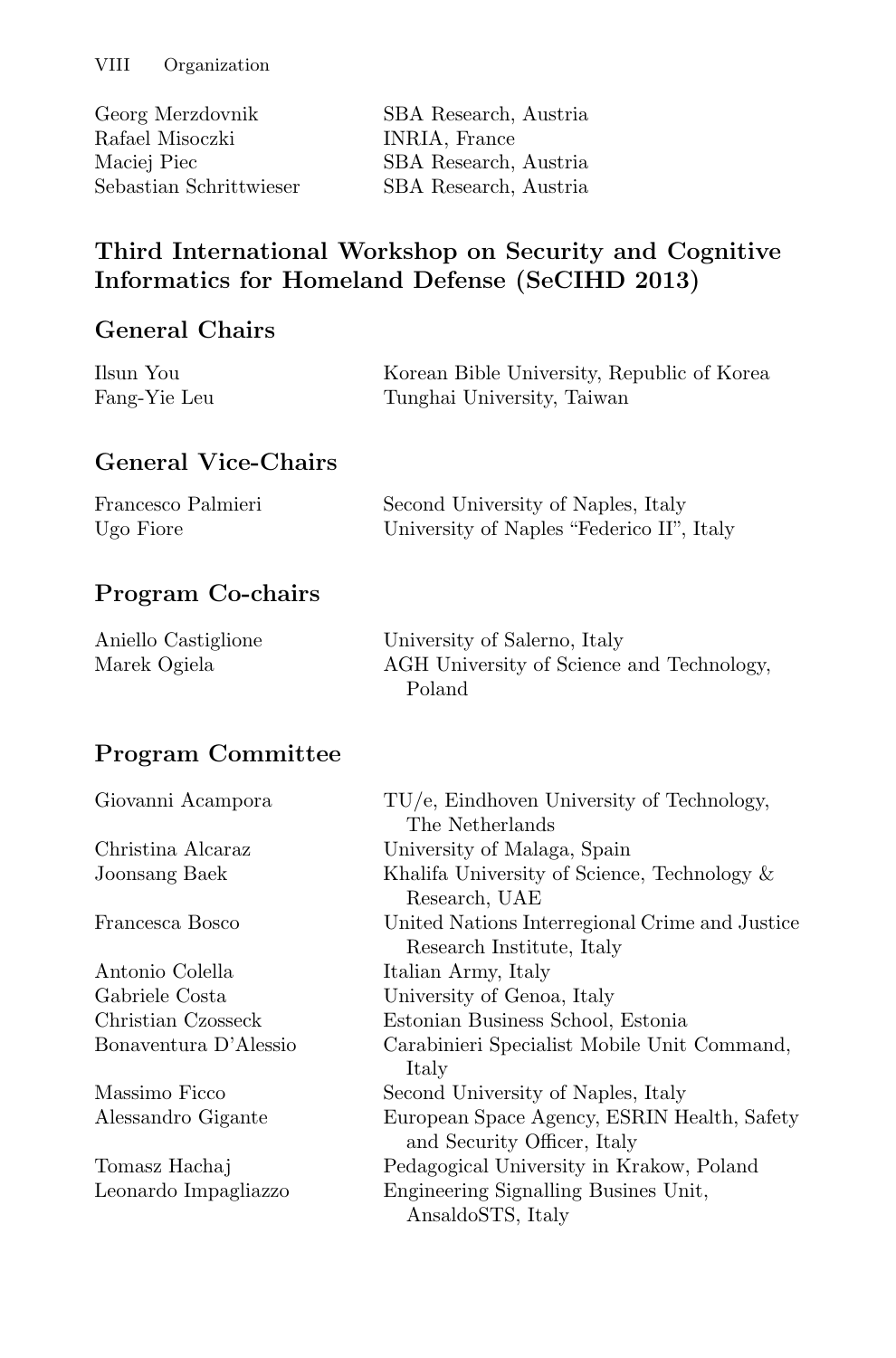| Georg Merzdovnik        | SBA Research, Austria |
|-------------------------|-----------------------|
| Rafael Misoczki         | INRIA, France         |
| Maciej Piec             | SBA Research, Austria |
| Sebastian Schrittwieser | SBA Research, Austria |

#### **Third International Workshop on Security and Cognitive Informatics for Homeland Defense (SeCIHD 2013)**

#### **General Chairs**

| Ilsun You    | Korean Bible University, Republic of Korea |
|--------------|--------------------------------------------|
| Fang-Yie Leu | Tunghai University, Taiwan                 |
|              |                                            |

## **General Vice-Chairs**

| Francesco Palmieri | Second University of Naples, Italy        |
|--------------------|-------------------------------------------|
| Ugo Fiore          | University of Naples "Federico II", Italy |

#### **Program Co-chairs**

| Aniello Castiglione | University of Salerno, Italy              |
|---------------------|-------------------------------------------|
| Marek Ogiela        | AGH University of Science and Technology, |
|                     | Poland                                    |

#### **Program Committee**

| Giovanni Acampora     | TU/e, Eindhoven University of Technology,      |
|-----------------------|------------------------------------------------|
|                       | The Netherlands                                |
| Christina Alcaraz     | University of Malaga, Spain                    |
| Joonsang Baek         | Khalifa University of Science, Technology &    |
|                       | Research, UAE                                  |
| Francesca Bosco       | United Nations Interregional Crime and Justice |
|                       | Research Institute, Italy                      |
| Antonio Colella       | Italian Army, Italy                            |
| Gabriele Costa        | University of Genoa, Italy                     |
| Christian Czosseck    | Estonian Business School, Estonia              |
| Bonaventura D'Alessio | Carabinieri Specialist Mobile Unit Command,    |
|                       | Italy                                          |
| Massimo Ficco         | Second University of Naples, Italy             |
| Alessandro Gigante    | European Space Agency, ESRIN Health, Safety    |
|                       | and Security Officer, Italy                    |
| Tomasz Hachaj         | Pedagogical University in Krakow, Poland       |
| Leonardo Impagliazzo  | Engineering Signalling Busines Unit,           |
|                       | AnsaldoSTS, Italy                              |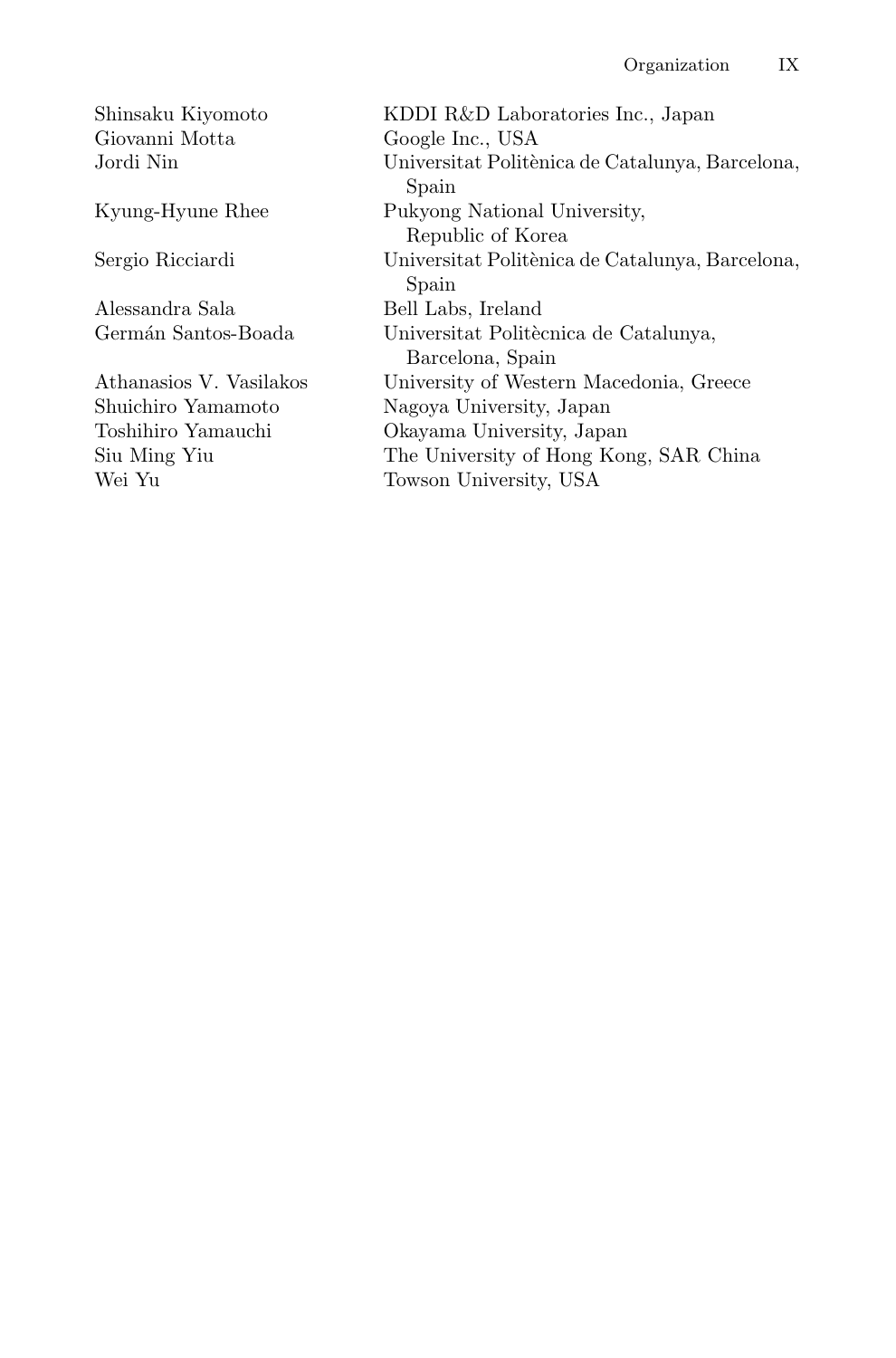Giovanni Motta Google Inc., USA

Alessandra Sala Bell Labs, Ireland

Shinsaku Kiyomoto KDDI R&D Laboratories Inc., Japan Universitat Politènica de Catalunya, Barcelona, Spain Kyung-Hyune Rhee Pukyong National University, Republic of Korea Sergio Ricciardi Universitat Politènica de Catalunya, Barcelona, Spain Germán Santos-Boada Universitat Politècnica de Catalunya, Barcelona, Spain Athanasios V. Vasilakos University of Western Macedonia, Greece Shuichiro Yamamoto Nagoya University, Japan Toshihiro Yamauchi Okavama University. Japa Toshihiro Yamauchi Okayama University, Japan Siu Ming Yiu The University of Hong Kong, SAR China Wei Yu Towson University, USA Towson University, USA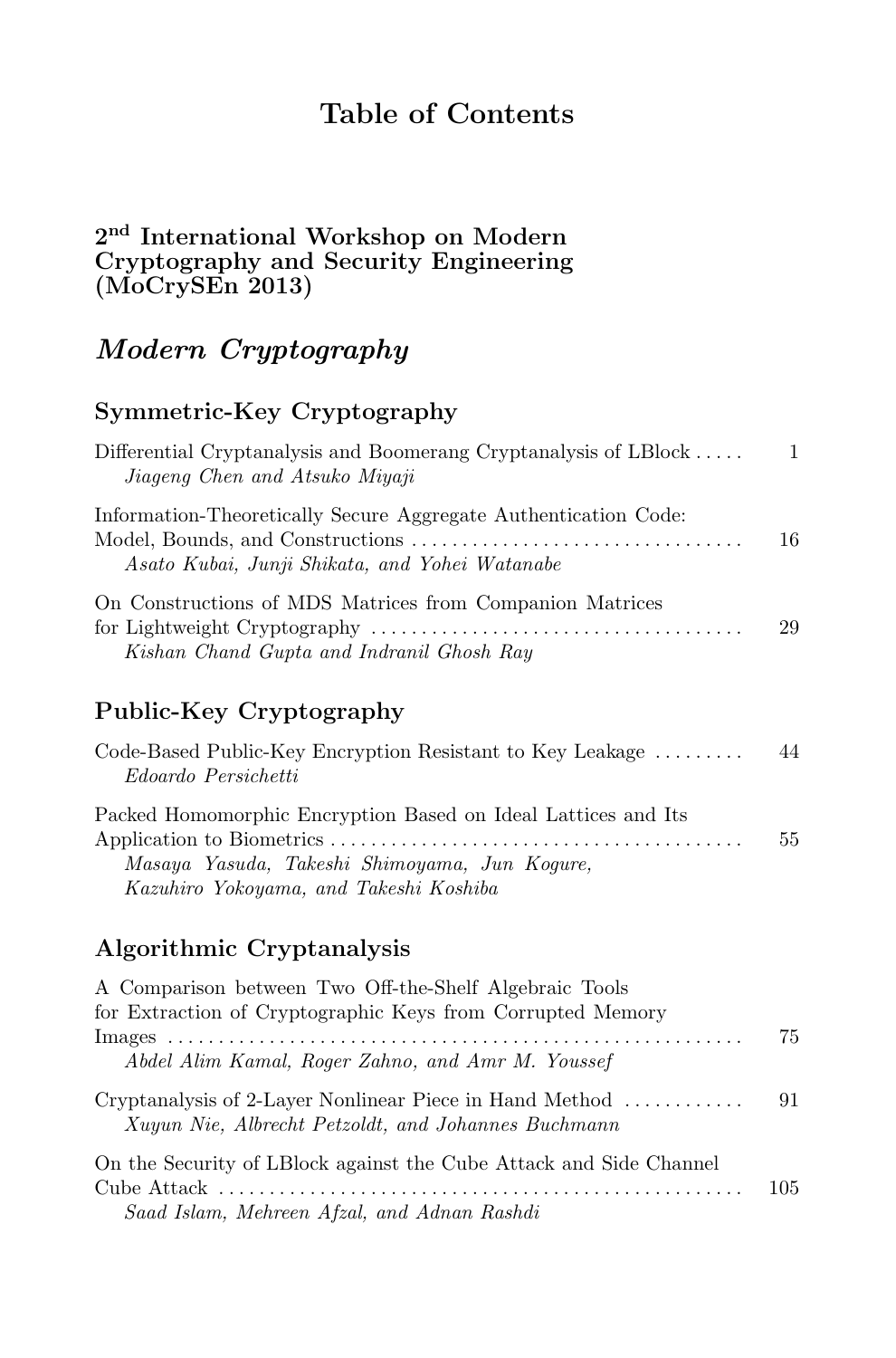# **Table of Contents**

#### **2nd International Workshop on Modern Cryptography and Security Engineering (MoCrySEn 2013)**

# *Modern Cryptography*

#### **Symmetric-Key Cryptography**

| Differential Cryptanalysis and Boomerang Cryptanalysis of LBlock<br>Jiageng Chen and Atsuko Miyaji                | $\overline{1}$ |
|-------------------------------------------------------------------------------------------------------------------|----------------|
| Information-Theoretically Secure Aggregate Authentication Code:<br>Asato Kubai, Junji Shikata, and Yohei Watanabe | 16             |
| On Constructions of MDS Matrices from Companion Matrices<br>Kishan Chand Gupta and Indranil Ghosh Ray             | 29             |

#### **Public-Key Cryptography**

| Code-Based Public-Key Encryption Resistant to Key Leakage     | 44 |
|---------------------------------------------------------------|----|
| Edoardo Persichetti                                           |    |
| Packed Homomorphic Encryption Based on Ideal Lattices and Its |    |
|                                                               | 55 |
| Masaya Yasuda, Takeshi Shimoyama, Jun Kogure,                 |    |
| Kazuhiro Yokoyama, and Takeshi Koshiba                        |    |

#### **Algorithmic Cryptanalysis**

| A Comparison between Two Off-the-Shelf Algebraic Tools<br>for Extraction of Cryptographic Keys from Corrupted Memory |     |
|----------------------------------------------------------------------------------------------------------------------|-----|
| Abdel Alim Kamal, Roger Zahno, and Amr M. Youssef                                                                    | 75  |
| Cryptanalysis of 2-Layer Nonlinear Piece in Hand Method<br>Xuyun Nie, Albrecht Petzoldt, and Johannes Buchmann       | 91  |
| On the Security of LBlock against the Cube Attack and Side Channel                                                   | 105 |
| Saad Islam, Mehreen Afzal, and Adnan Rashdi                                                                          |     |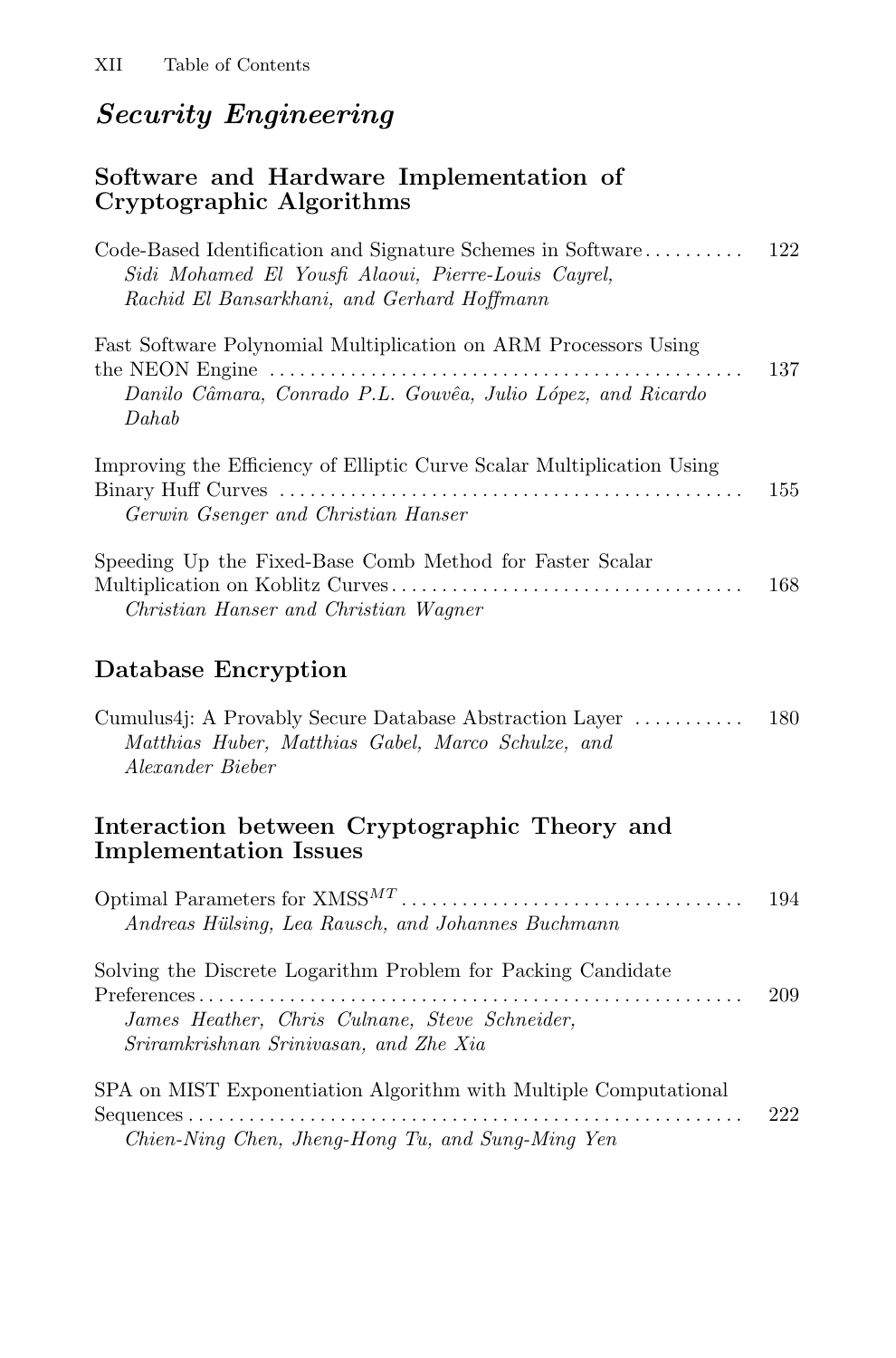# *Security Engineering*

#### **Software and Hardware Implementation of Cryptographic Algorithms**

| Sidi Mohamed El Yousfi Alaoui, Pierre-Louis Cayrel,<br>Rachid El Bansarkhani, and Gerhard Hoffmann                                                                                                                                                      |     |
|---------------------------------------------------------------------------------------------------------------------------------------------------------------------------------------------------------------------------------------------------------|-----|
| Fast Software Polynomial Multiplication on ARM Processors Using<br>the NEON Engine $\dots \dots \dots \dots \dots \dots \dots \dots \dots \dots \dots \dots \dots \dots \dots$<br>Danilo Câmara, Conrado P.L. Gouvêa, Julio López, and Ricardo<br>Dahab | 137 |
| Improving the Efficiency of Elliptic Curve Scalar Multiplication Using<br>Gerwin Gsenger and Christian Hanser                                                                                                                                           | 155 |
| Speeding Up the Fixed-Base Comb Method for Faster Scalar<br>Christian Hanser and Christian Wagner                                                                                                                                                       | 168 |
| Database Encryption                                                                                                                                                                                                                                     |     |
| Cumulus4j: A Provably Secure Database Abstraction Layer<br>Matthias Huber, Matthias Gabel, Marco Schulze, and<br>Alexander Bieber                                                                                                                       | 180 |
| Interaction between Cryptographic Theory and<br><b>Implementation Issues</b>                                                                                                                                                                            |     |
| Andreas Hülsing, Lea Rausch, and Johannes Buchmann                                                                                                                                                                                                      | 194 |
| Solving the Discrete Logarithm Problem for Packing Candidate<br>.<br>James Heather, Chris Culnane, Steve Schneider,<br>Sriramkrishnan Srinivasan, and Zhe Xia                                                                                           | 209 |
|                                                                                                                                                                                                                                                         |     |

SPA on MIST Exponentiation Algorithm with Multiple Computational Sequences ....................................................... 222 *Chien-Ning Chen, Jheng-Hong Tu, and Sung-Ming Yen*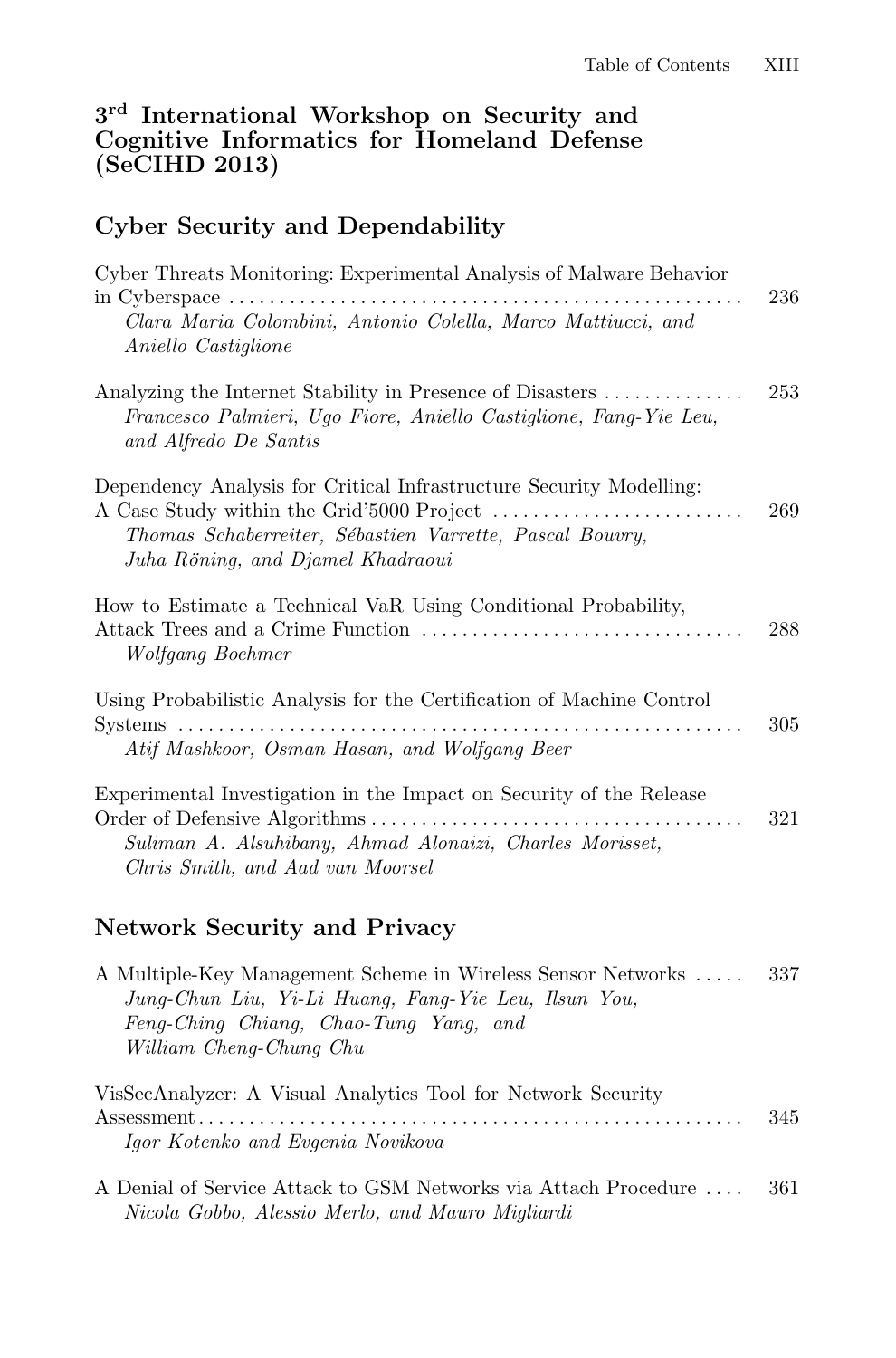#### **3rd International Workshop on Security and Cognitive Informatics for Homeland Defense (SeCIHD 2013)**

#### **Cyber Security and Dependability**

| Cyber Threats Monitoring: Experimental Analysis of Malware Behavior<br>Clara Maria Colombini, Antonio Colella, Marco Mattiucci, and<br>Aniello Castiglione           | 236 |
|----------------------------------------------------------------------------------------------------------------------------------------------------------------------|-----|
| Analyzing the Internet Stability in Presence of Disasters<br>Francesco Palmieri, Ugo Fiore, Aniello Castiglione, Fang-Yie Leu,<br>and Alfredo De Santis              | 253 |
| Dependency Analysis for Critical Infrastructure Security Modelling:<br>Thomas Schaberreiter, Sébastien Varrette, Pascal Bouvry,<br>Juha Röning, and Djamel Khadraoui | 269 |
| How to Estimate a Technical VaR Using Conditional Probability,<br>Wolfgang Boehmer                                                                                   | 288 |
| Using Probabilistic Analysis for the Certification of Machine Control<br>Atif Mashkoor, Osman Hasan, and Wolfgang Beer                                               | 305 |
| Experimental Investigation in the Impact on Security of the Release<br>Suliman A. Alsuhibany, Ahmad Alonaizi, Charles Morisset,<br>Chris Smith, and Aad van Moorsel  | 321 |

#### **Network Security and Privacy**

| A Multiple-Key Management Scheme in Wireless Sensor Networks<br>Jung-Chun Liu, Yi-Li Huang, Fang-Yie Leu, Ilsun You, | 337  |
|----------------------------------------------------------------------------------------------------------------------|------|
| Feng-Ching Chiang, Chao-Tung Yang, and                                                                               |      |
| William Cheng-Chung Chu                                                                                              |      |
| VisSecAnalyzer: A Visual Analytics Tool for Network Security<br>Igor Kotenko and Evgenia Novikova                    | 345  |
| A Denial of Service Attack to GSM Networks via Attach Procedure<br>Nicola Gobbo, Alessio Merlo, and Mauro Migliardi  | -361 |